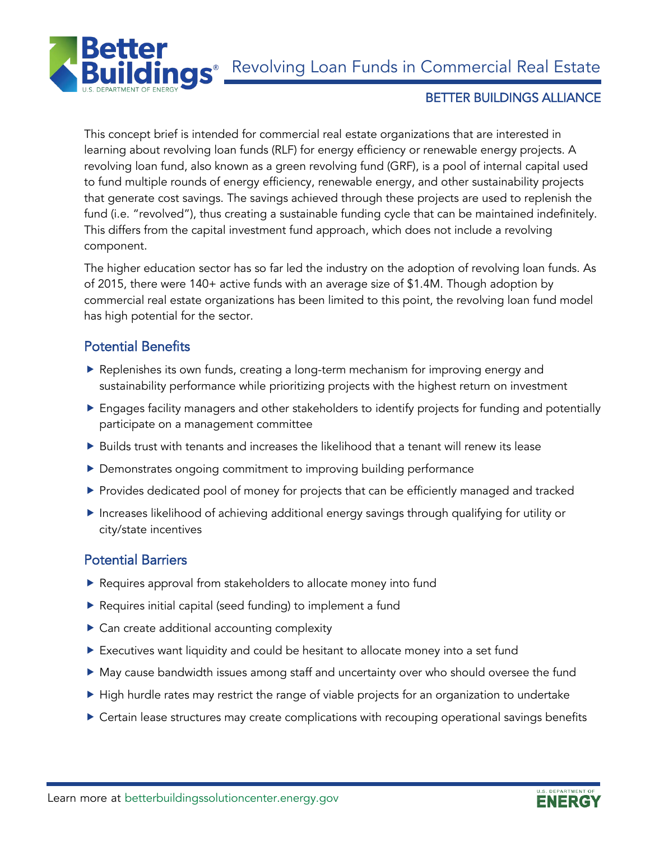**nas** Revolving Loan Funds in Commercial Real Estate



### BETTER BUILDINGS ALLIANCE

This concept brief is intended for commercial real estate organizations that are interested in learning about revolving loan funds (RLF) for energy efficiency or renewable energy projects. A revolving loan fund, also known as a green revolving fund (GRF), is a pool of internal capital used to fund multiple rounds of energy efficiency, renewable energy, and other sustainability projects that generate cost savings. The savings achieved through these projects are used to replenish the fund (i.e. "revolved"), thus creating a sustainable funding cycle that can be maintained indefinitely. This differs from the capital investment fund approach, which does not include a revolving component.

The higher education sector has so far led the industry on the adoption of revolving loan funds. As of 2015, there were 140+ active funds with an average size of \$1.4M. Though adoption by commercial real estate organizations has been limited to this point, the revolving loan fund model has high potential for the sector.

## Potential Benefits

- Replenishes its own funds, creating a long-term mechanism for improving energy and sustainability performance while prioritizing projects with the highest return on investment
- Engages facility managers and other stakeholders to identify projects for funding and potentially participate on a management committee
- $\triangleright$  Builds trust with tenants and increases the likelihood that a tenant will renew its lease
- Demonstrates ongoing commitment to improving building performance
- **Provides dedicated pool of money for projects that can be efficiently managed and tracked**
- Increases likelihood of achieving additional energy savings through qualifying for utility or city/state incentives

## Potential Barriers

- Requires approval from stakeholders to allocate money into fund
- Requires initial capital (seed funding) to implement a fund
- ▶ Can create additional accounting complexity
- Executives want liquidity and could be hesitant to allocate money into a set fund
- May cause bandwidth issues among staff and uncertainty over who should oversee the fund
- High hurdle rates may restrict the range of viable projects for an organization to undertake
- Certain lease structures may create complications with recouping operational savings benefits

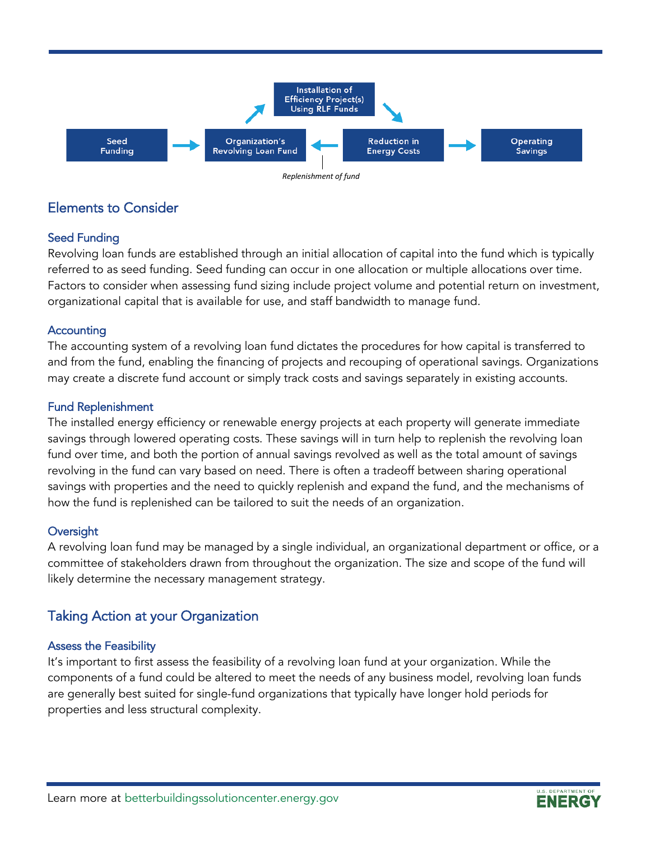

## Elements to Consider

## Seed Funding

Revolving loan funds are established through an initial allocation of capital into the fund which is typically referred to as seed funding. Seed funding can occur in one allocation or multiple allocations over time. Factors to consider when assessing fund sizing include project volume and potential return on investment, organizational capital that is available for use, and staff bandwidth to manage fund.

### **Accounting**

The accounting system of a revolving loan fund dictates the procedures for how capital is transferred to and from the fund, enabling the financing of projects and recouping of operational savings. Organizations may create a discrete fund account or simply track costs and savings separately in existing accounts.

### Fund Replenishment

The installed energy efficiency or renewable energy projects at each property will generate immediate savings through lowered operating costs. These savings will in turn help to replenish the revolving loan fund over time, and both the portion of annual savings revolved as well as the total amount of savings revolving in the fund can vary based on need. There is often a tradeoff between sharing operational savings with properties and the need to quickly replenish and expand the fund, and the mechanisms of how the fund is replenished can be tailored to suit the needs of an organization.

### **Oversight**

A revolving loan fund may be managed by a single individual, an organizational department or office, or a committee of stakeholders drawn from throughout the organization. The size and scope of the fund will likely determine the necessary management strategy.

# Taking Action at your Organization

### Assess the Feasibility

It's important to first assess the feasibility of a revolving loan fund at your organization. While the components of a fund could be altered to meet the needs of any business model, revolving loan funds are generally best suited for single-fund organizations that typically have longer hold periods for properties and less structural complexity.